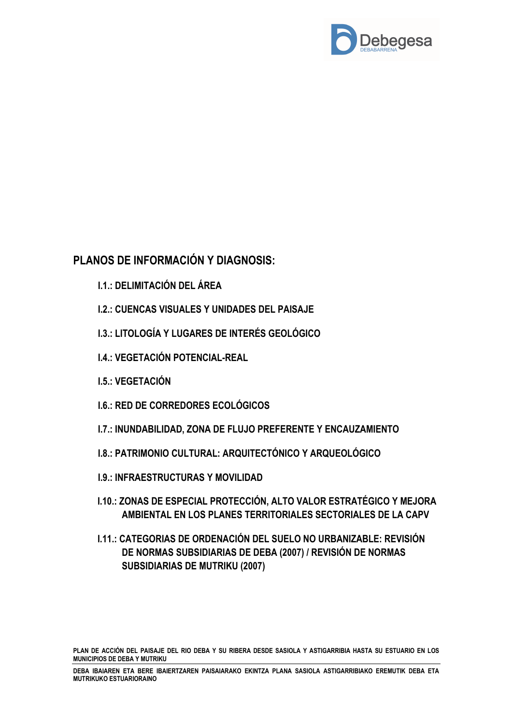

## **PLANOS DE INFORMACIÓN Y DIAGNOSIS:**

- **I.1.: DELIMITACIÓN DEL ÁREA**
- **I.2.: CUENCAS VISUALES Y UNIDADES DEL PAISAJE**
- **I.3.: LITOLOGÍA Y LUGARES DE INTERÉS GEOLÓGICO**
- **I.4.: VEGETACIÓN POTENCIAL-REAL**
- **I.5.: VEGETACIÓN**
- **I.6.: RED DE CORREDORES ECOLÓGICOS**
- **I.7.: INUNDABILIDAD, ZONA DE FLUJO PREFERENTE Y ENCAUZAMIENTO**
- **I.8.: PATRIMONIO CULTURAL: ARQUITECTÓNICO Y ARQUEOLÓGICO**
- **I.9.: INFRAESTRUCTURAS Y MOVILIDAD**
- **I.10.: ZONAS DE ESPECIAL PROTECCIÓN, ALTO VALOR ESTRATÉGICO Y MEJORA AMBIENTAL EN LOS PLANES TERRITORIALES SECTORIALES DE LA CAPV**
- **I.11.: CATEGORIAS DE ORDENACIÓN DEL SUELO NO URBANIZABLE: REVISIÓN DE NORMAS SUBSIDIARIAS DE DEBA (2007) / REVISIÓN DE NORMAS SUBSIDIARIAS DE MUTRIKU (2007)**

**PLAN DE ACCIÓN DEL PAISAJE DEL RIO DEBA Y SU RIBERA DESDE SASIOLA Y ASTIGARRIBIA HASTA SU ESTUARIO EN LOS MUNICIPIOS DE DEBA Y MUTRIKU**